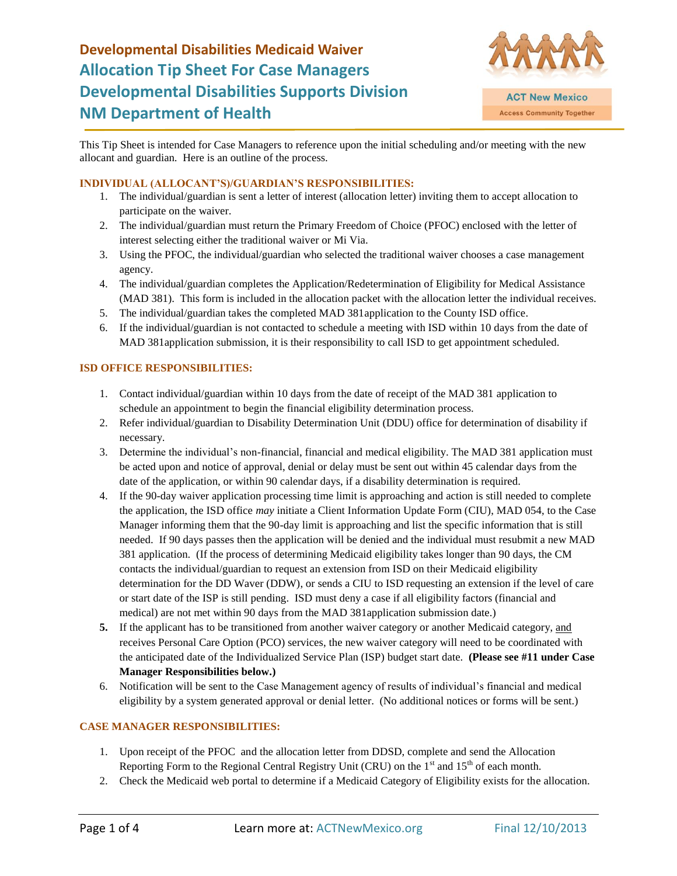

This Tip Sheet is intended for Case Managers to reference upon the initial scheduling and/or meeting with the new allocant and guardian. Here is an outline of the process.

#### **INDIVIDUAL (ALLOCANT'S)/GUARDIAN'S RESPONSIBILITIES:**

- 1. The individual/guardian is sent a letter of interest (allocation letter) inviting them to accept allocation to participate on the waiver.
- 2. The individual/guardian must return the Primary Freedom of Choice (PFOC) enclosed with the letter of interest selecting either the traditional waiver or Mi Via.
- 3. Using the PFOC, the individual/guardian who selected the traditional waiver chooses a case management agency.
- 4. The individual/guardian completes the Application/Redetermination of Eligibility for Medical Assistance (MAD 381). This form is included in the allocation packet with the allocation letter the individual receives.
- 5. The individual/guardian takes the completed MAD 381application to the County ISD office.
- 6. If the individual/guardian is not contacted to schedule a meeting with ISD within 10 days from the date of MAD 381application submission, it is their responsibility to call ISD to get appointment scheduled.

### **ISD OFFICE RESPONSIBILITIES:**

- 1. Contact individual/guardian within 10 days from the date of receipt of the MAD 381 application to schedule an appointment to begin the financial eligibility determination process.
- 2. Refer individual/guardian to Disability Determination Unit (DDU) office for determination of disability if necessary.
- 3. Determine the individual's non-financial, financial and medical eligibility. The MAD 381 application must be acted upon and notice of approval, denial or delay must be sent out within 45 calendar days from the date of the application, or within 90 calendar days, if a disability determination is required.
- 4. If the 90-day waiver application processing time limit is approaching and action is still needed to complete the application, the ISD office *may* initiate a Client Information Update Form (CIU), MAD 054, to the Case Manager informing them that the 90-day limit is approaching and list the specific information that is still needed. If 90 days passes then the application will be denied and the individual must resubmit a new MAD 381 application. (If the process of determining Medicaid eligibility takes longer than 90 days, the CM contacts the individual/guardian to request an extension from ISD on their Medicaid eligibility determination for the DD Waver (DDW), or sends a CIU to ISD requesting an extension if the level of care or start date of the ISP is still pending. ISD must deny a case if all eligibility factors (financial and medical) are not met within 90 days from the MAD 381application submission date.)
- **5.** If the applicant has to be transitioned from another waiver category or another Medicaid category, and receives Personal Care Option (PCO) services, the new waiver category will need to be coordinated with the anticipated date of the Individualized Service Plan (ISP) budget start date. **(Please see #11 under Case Manager Responsibilities below.)**
- 6. Notification will be sent to the Case Management agency of results of individual's financial and medical eligibility by a system generated approval or denial letter. (No additional notices or forms will be sent.)

### **CASE MANAGER RESPONSIBILITIES:**

- 1. Upon receipt of the PFOC and the allocation letter from DDSD, complete and send the Allocation Reporting Form to the Regional Central Registry Unit (CRU) on the  $1<sup>st</sup>$  and  $15<sup>th</sup>$  of each month.
- 2. Check the Medicaid web portal to determine if a Medicaid Category of Eligibility exists for the allocation.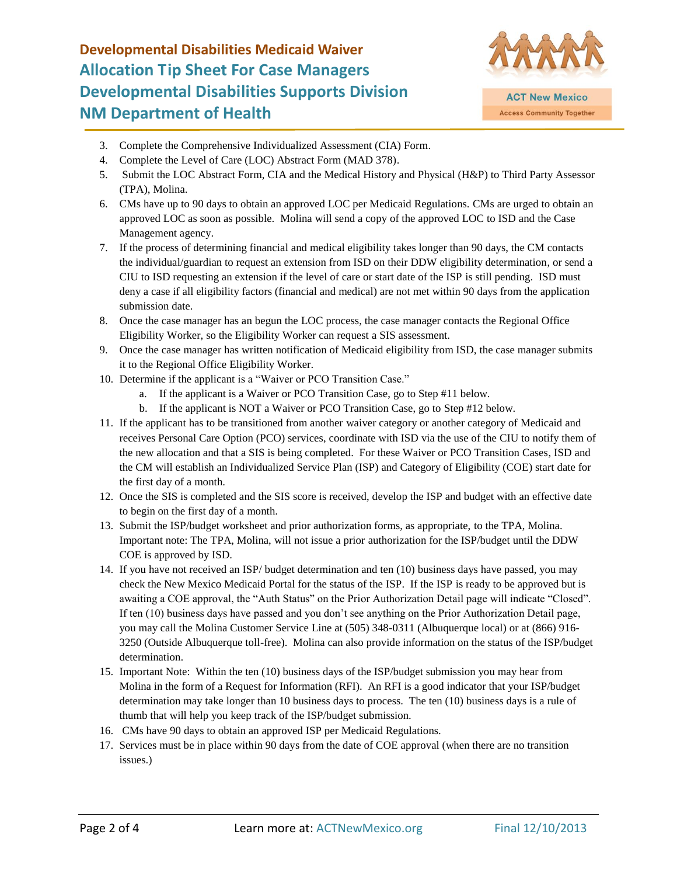

- 3. Complete the Comprehensive Individualized Assessment (CIA) Form.
- 4. Complete the Level of Care (LOC) Abstract Form (MAD 378).
- 5. Submit the LOC Abstract Form, CIA and the Medical History and Physical (H&P) to Third Party Assessor (TPA), Molina.
- 6. CMs have up to 90 days to obtain an approved LOC per Medicaid Regulations. CMs are urged to obtain an approved LOC as soon as possible. Molina will send a copy of the approved LOC to ISD and the Case Management agency.
- 7. If the process of determining financial and medical eligibility takes longer than 90 days, the CM contacts the individual/guardian to request an extension from ISD on their DDW eligibility determination, or send a CIU to ISD requesting an extension if the level of care or start date of the ISP is still pending. ISD must deny a case if all eligibility factors (financial and medical) are not met within 90 days from the application submission date.
- 8. Once the case manager has an begun the LOC process, the case manager contacts the Regional Office Eligibility Worker, so the Eligibility Worker can request a SIS assessment.
- 9. Once the case manager has written notification of Medicaid eligibility from ISD, the case manager submits it to the Regional Office Eligibility Worker.
- 10. Determine if the applicant is a "Waiver or PCO Transition Case."
	- a. If the applicant is a Waiver or PCO Transition Case, go to Step #11 below.
	- b. If the applicant is NOT a Waiver or PCO Transition Case, go to Step #12 below.
- 11. If the applicant has to be transitioned from another waiver category or another category of Medicaid and receives Personal Care Option (PCO) services, coordinate with ISD via the use of the CIU to notify them of the new allocation and that a SIS is being completed. For these Waiver or PCO Transition Cases, ISD and the CM will establish an Individualized Service Plan (ISP) and Category of Eligibility (COE) start date for the first day of a month.
- 12. Once the SIS is completed and the SIS score is received, develop the ISP and budget with an effective date to begin on the first day of a month.
- 13. Submit the ISP/budget worksheet and prior authorization forms, as appropriate, to the TPA, Molina. Important note: The TPA, Molina, will not issue a prior authorization for the ISP/budget until the DDW COE is approved by ISD.
- 14. If you have not received an ISP/ budget determination and ten (10) business days have passed, you may check the New Mexico Medicaid Portal for the status of the ISP. If the ISP is ready to be approved but is awaiting a COE approval, the "Auth Status" on the Prior Authorization Detail page will indicate "Closed". If ten (10) business days have passed and you don't see anything on the Prior Authorization Detail page, you may call the Molina Customer Service Line at (505) 348-0311 (Albuquerque local) or at (866) 916- 3250 (Outside Albuquerque toll-free). Molina can also provide information on the status of the ISP/budget determination.
- 15. Important Note: Within the ten (10) business days of the ISP/budget submission you may hear from Molina in the form of a Request for Information (RFI). An RFI is a good indicator that your ISP/budget determination may take longer than 10 business days to process. The ten (10) business days is a rule of thumb that will help you keep track of the ISP/budget submission.
- 16. CMs have 90 days to obtain an approved ISP per Medicaid Regulations.
- 17. Services must be in place within 90 days from the date of COE approval (when there are no transition issues.)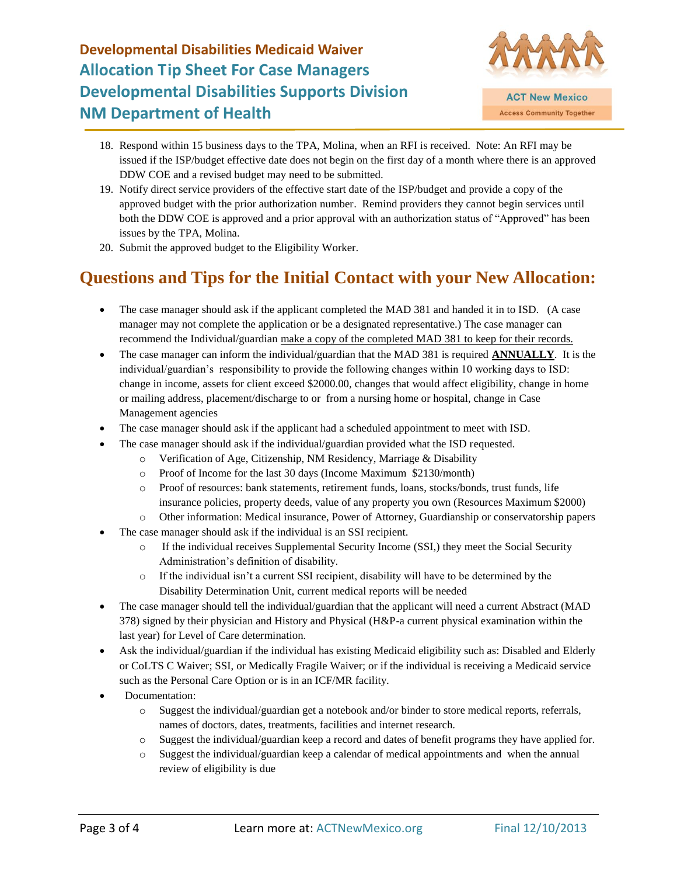

- 18. Respond within 15 business days to the TPA, Molina, when an RFI is received. Note: An RFI may be issued if the ISP/budget effective date does not begin on the first day of a month where there is an approved DDW COE and a revised budget may need to be submitted.
- 19. Notify direct service providers of the effective start date of the ISP/budget and provide a copy of the approved budget with the prior authorization number. Remind providers they cannot begin services until both the DDW COE is approved and a prior approval with an authorization status of "Approved" has been issues by the TPA, Molina.
- 20. Submit the approved budget to the Eligibility Worker.

## **Questions and Tips for the Initial Contact with your New Allocation:**

- The case manager should ask if the applicant completed the MAD 381 and handed it in to ISD. (A case manager may not complete the application or be a designated representative.) The case manager can recommend the Individual/guardian make a copy of the completed MAD 381 to keep for their records.
- The case manager can inform the individual/guardian that the MAD 381 is required **ANNUALLY**. It is the individual/guardian's responsibility to provide the following changes within 10 working days to ISD: change in income, assets for client exceed \$2000.00, changes that would affect eligibility, change in home or mailing address, placement/discharge to or from a nursing home or hospital, change in Case Management agencies
- The case manager should ask if the applicant had a scheduled appointment to meet with ISD.
- The case manager should ask if the individual/guardian provided what the ISD requested.
	- o Verification of Age, Citizenship, NM Residency, Marriage & Disability
	- o Proof of Income for the last 30 days (Income Maximum \$2130/month)
	- o Proof of resources: bank statements, retirement funds, loans, stocks/bonds, trust funds, life insurance policies, property deeds, value of any property you own (Resources Maximum \$2000)
	- o Other information: Medical insurance, Power of Attorney, Guardianship or conservatorship papers
- The case manager should ask if the individual is an SSI recipient.
	- o If the individual receives Supplemental Security Income (SSI,) they meet the Social Security Administration's definition of disability.
	- $\circ$  If the individual isn't a current SSI recipient, disability will have to be determined by the Disability Determination Unit, current medical reports will be needed
- The case manager should tell the individual/guardian that the applicant will need a current Abstract (MAD) 378) signed by their physician and History and Physical (H&P-a current physical examination within the last year) for Level of Care determination.
- Ask the individual/guardian if the individual has existing Medicaid eligibility such as: Disabled and Elderly or CoLTS C Waiver; SSI, or Medically Fragile Waiver; or if the individual is receiving a Medicaid service such as the Personal Care Option or is in an ICF/MR facility.
- Documentation:
	- o Suggest the individual/guardian get a notebook and/or binder to store medical reports, referrals, names of doctors, dates, treatments, facilities and internet research.
	- o Suggest the individual/guardian keep a record and dates of benefit programs they have applied for.
	- o Suggest the individual/guardian keep a calendar of medical appointments and when the annual review of eligibility is due